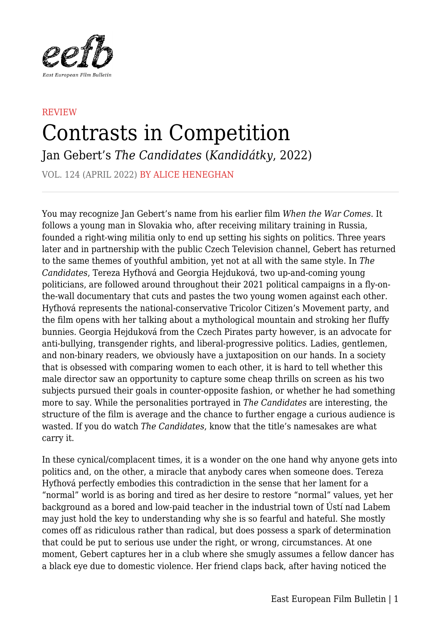

## **REVIEW** Contrasts in Competition

Jan Gebert's *The Candidates* (*Kandidátky*, 2022)

VOL. 124 (APRIL 2022) BY ALICE HENEGHAN

You may recognize Jan Gebert's name from his earlier film *When the War Comes*. It follows a young man in Slovakia who, after receiving military training in Russia, founded a right-wing militia only to end up setting his sights on politics. Three years later and in partnership with the public Czech Television channel, Gebert has returned to the same themes of youthful ambition, yet not at all with the same style. In *The Candidates*, Tereza Hyťhová and Georgia Hejduková, two up-and-coming young politicians, are followed around throughout their 2021 political campaigns in a fly-onthe-wall documentary that cuts and pastes the two young women against each other. Hyťhová represents the national-conservative Tricolor Citizen's Movement party, and the film opens with her talking about a mythological mountain and stroking her fluffy bunnies. Georgia Hejduková from the Czech Pirates party however, is an advocate for anti-bullying, transgender rights, and liberal-progressive politics. Ladies, gentlemen, and non-binary readers, we obviously have a juxtaposition on our hands. In a society that is obsessed with comparing women to each other, it is hard to tell whether this male director saw an opportunity to capture some cheap thrills on screen as his two subjects pursued their goals in counter-opposite fashion, or whether he had something more to say. While the personalities portrayed in *The Candidates* are interesting, the structure of the film is average and the chance to further engage a curious audience is wasted. If you do watch *The Candidates*, know that the title's namesakes are what carry it.

In these cynical/complacent times, it is a wonder on the one hand why anyone gets into politics and, on the other, a miracle that anybody cares when someone does. Tereza Hyťhová perfectly embodies this contradiction in the sense that her lament for a "normal" world is as boring and tired as her desire to restore "normal" values, yet her background as a bored and low-paid teacher in the industrial town of Ústí nad Labem may just hold the key to understanding why she is so fearful and hateful. She mostly comes off as ridiculous rather than radical, but does possess a spark of determination that could be put to serious use under the right, or wrong, circumstances. At one moment, Gebert captures her in a club where she smugly assumes a fellow dancer has a black eye due to domestic violence. Her friend claps back, after having noticed the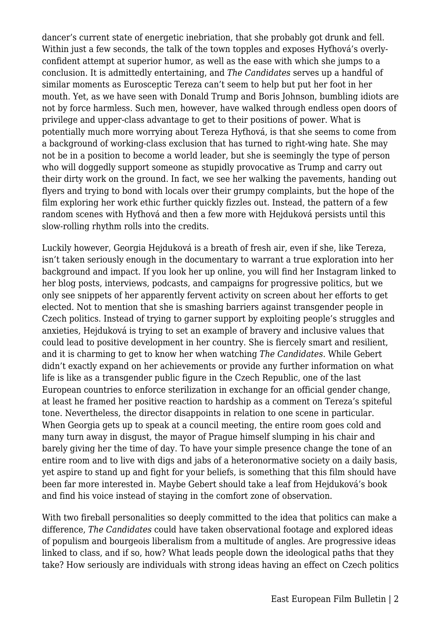dancer's current state of energetic inebriation, that she probably got drunk and fell. Within just a few seconds, the talk of the town topples and exposes Hyťhová's overlyconfident attempt at superior humor, as well as the ease with which she jumps to a conclusion. It is admittedly entertaining, and *The Candidates* serves up a handful of similar moments as Eurosceptic Tereza can't seem to help but put her foot in her mouth. Yet, as we have seen with Donald Trump and Boris Johnson, bumbling idiots are not by force harmless. Such men, however, have walked through endless open doors of privilege and upper-class advantage to get to their positions of power. What is potentially much more worrying about Tereza Hyťhová, is that she seems to come from a background of working-class exclusion that has turned to right-wing hate. She may not be in a position to become a world leader, but she is seemingly the type of person who will doggedly support someone as stupidly provocative as Trump and carry out their dirty work on the ground. In fact, we see her walking the pavements, handing out flyers and trying to bond with locals over their grumpy complaints, but the hope of the film exploring her work ethic further quickly fizzles out. Instead, the pattern of a few random scenes with Hyťhová and then a few more with Hejduková persists until this slow-rolling rhythm rolls into the credits.

Luckily however, Georgia Hejduková is a breath of fresh air, even if she, like Tereza, isn't taken seriously enough in the documentary to warrant a true exploration into her background and impact. If you look her up online, you will find her Instagram linked to her blog posts, interviews, podcasts, and campaigns for progressive politics, but we only see snippets of her apparently fervent activity on screen about her efforts to get elected. Not to mention that she is smashing barriers against transgender people in Czech politics. Instead of trying to garner support by exploiting people's struggles and anxieties, Hejduková is trying to set an example of bravery and inclusive values that could lead to positive development in her country. She is fiercely smart and resilient, and it is charming to get to know her when watching *The Candidates*. While Gebert didn't exactly expand on her achievements or provide any further information on what life is like as a transgender public figure in the Czech Republic, one of the last European countries to enforce sterilization in exchange for an official gender change, at least he framed her positive reaction to hardship as a comment on Tereza's spiteful tone. Nevertheless, the director disappoints in relation to one scene in particular. When Georgia gets up to speak at a council meeting, the entire room goes cold and many turn away in disgust, the mayor of Prague himself slumping in his chair and barely giving her the time of day. To have your simple presence change the tone of an entire room and to live with digs and jabs of a heteronormative society on a daily basis, yet aspire to stand up and fight for your beliefs, is something that this film should have been far more interested in. Maybe Gebert should take a leaf from Hejduková's book and find his voice instead of staying in the comfort zone of observation.

With two fireball personalities so deeply committed to the idea that politics can make a difference, *The Candidates* could have taken observational footage and explored ideas of populism and bourgeois liberalism from a multitude of angles. Are progressive ideas linked to class, and if so, how? What leads people down the ideological paths that they take? How seriously are individuals with strong ideas having an effect on Czech politics